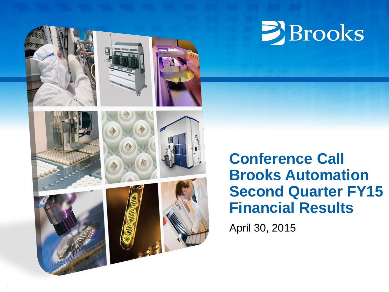

1

# **E**Brooks

# **Conference Call Brooks Automation Second Quarter FY15 Financial Results**

April 30, 2015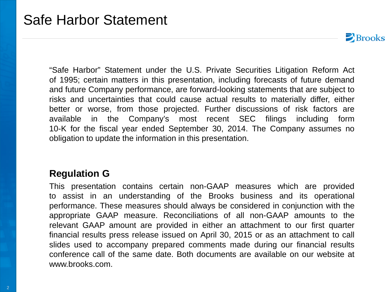$\blacktriangleright$  Brooks

"Safe Harbor" Statement under the U.S. Private Securities Litigation Reform Act of 1995; certain matters in this presentation, including forecasts of future demand and future Company performance, are forward-looking statements that are subject to risks and uncertainties that could cause actual results to materially differ, either better or worse, from those projected. Further discussions of risk factors are available in the Company's most recent SEC filings including form 10-K for the fiscal year ended September 30, 2014. The Company assumes no obligation to update the information in this presentation.

#### **Regulation G**

This presentation contains certain non-GAAP measures which are provided to assist in an understanding of the Brooks business and its operational performance. These measures should always be considered in conjunction with the appropriate GAAP measure. Reconciliations of all non-GAAP amounts to the relevant GAAP amount are provided in either an attachment to our first quarter financial results press release issued on April 30, 2015 or as an attachment to call slides used to accompany prepared comments made during our financial results conference call of the same date. Both documents are available on our website at www.brooks.com.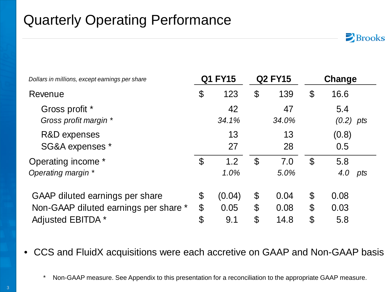# Quarterly Operating Performance

|                                |                |                                             |              |                                                | Change                     |
|--------------------------------|----------------|---------------------------------------------|--------------|------------------------------------------------|----------------------------|
| $\boldsymbol{\mathcal{S}}$     | 123            | \$                                          | 139          | $\boldsymbol{\mathcal{S}}$                     | 16.6                       |
|                                | 42<br>34.1%    |                                             | 47<br>34.0%  |                                                | 5.4<br>$(0.2)$ pts         |
|                                | 13<br>27       |                                             | 13<br>28     |                                                | (0.8)<br>0.5               |
| $\mathcal{C}$                  | 1.2<br>1.0%    | $\mathcal{S}$                               | 7.0<br>5.0%  | $\mathfrak{F}$                                 | 5.8<br>4.0<br>pts          |
| $\mathbb{S}$<br>$\mathfrak{F}$ | (0.04)<br>0.05 | $\boldsymbol{\mathcal{L}}$<br>$\mathcal{C}$ | 0.04<br>0.08 | $\boldsymbol{\theta}$<br>$\boldsymbol{\theta}$ | 0.08<br>0.03<br>5.8        |
|                                | \$             | <b>Q1 FY15</b><br>9.1                       |              | <b>Q2 FY15</b><br>$\mathcal{C}$<br>14.8        | $\boldsymbol{\mathcal{S}}$ |

 $\sum$ Brooks

• CCS and FluidX acquisitions were each accretive on GAAP and Non-GAAP basis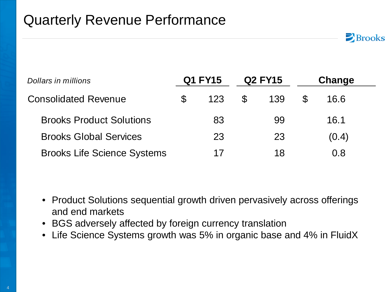## Quarterly Revenue Performance

| Dollars in millions                | Q1 FY15   |               | <b>Q2 FY15</b> | Change     |  |
|------------------------------------|-----------|---------------|----------------|------------|--|
| <b>Consolidated Revenue</b>        | \$<br>123 | $\mathcal{F}$ | 139            | \$<br>16.6 |  |
| <b>Brooks Product Solutions</b>    | 83        |               | 99             | 16.1       |  |
| <b>Brooks Global Services</b>      | 23        |               | 23             | (0.4)      |  |
| <b>Brooks Life Science Systems</b> | 17        |               | 18             | 0.8        |  |

 $\triangleright$  Brooks

- Product Solutions sequential growth driven pervasively across offerings and end markets
- BGS adversely affected by foreign currency translation
- Life Science Systems growth was 5% in organic base and 4% in FluidX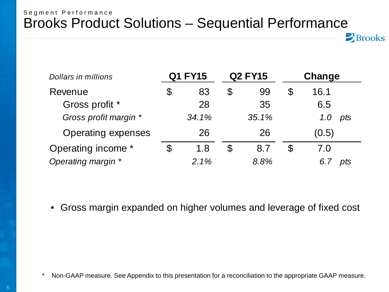#### Segment Performance Brooks Product Solutions – Sequential Performance

| Dollars in millions       | <b>Q1 FY15</b> | <b>Q2 FY15</b> |       |   | Change     |
|---------------------------|----------------|----------------|-------|---|------------|
| Revenue                   | \$<br>83       | $\mathfrak{F}$ | 99    | S | 16.1       |
| Gross profit *            | 28             |                | 35    |   | 6.5        |
| Gross profit margin *     | 34.1%          |                | 35.1% |   | pts<br>1.0 |
| <b>Operating expenses</b> | 26             |                | 26    |   | (0.5)      |
| Operating income *        | \$<br>1.8      | \$             | 8.7   | S | 7.0        |
| Operating margin *        | 2.1%           |                | 8.8%  |   | pts        |

 $\triangleright$  Brooks

• Gross margin expanded on higher volumes and leverage of fixed cost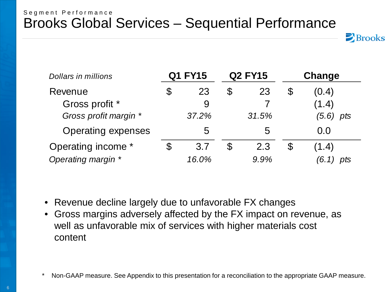#### Segment Performance Brooks Global Services – Sequential Performance



| Dollars in millions       | <b>Q1 FY15</b> |                |       |    | <b>Q2 FY15</b> |  | Change |
|---------------------------|----------------|----------------|-------|----|----------------|--|--------|
| Revenue                   | \$<br>23       | $\mathfrak{F}$ | 23    | \$ | (0.4)          |  |        |
| Gross profit *            | 9              |                |       |    | (1.4)          |  |        |
| Gross profit margin *     | 37.2%          |                | 31.5% |    | $(5.6)$ pts    |  |        |
| <b>Operating expenses</b> | 5              |                | 5     |    | 0.0            |  |        |
| Operating income *        | \$<br>3.7      | S              | 2.3   | \$ | (1.4)          |  |        |
| Operating margin *        | 16.0%          |                | 9.9%  |    | pts            |  |        |

- Revenue decline largely due to unfavorable FX changes
- Gross margins adversely affected by the FX impact on revenue, as well as unfavorable mix of services with higher materials cost content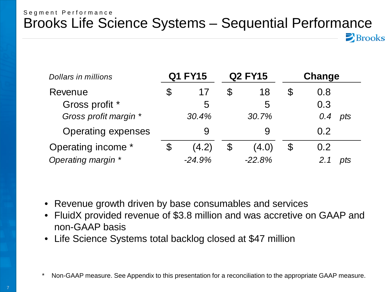#### Segment Performance Brooks Life Science Systems – Sequential Performance

 $\triangleright$  Brooks

| <b>Dollars in millions</b> | <b>Q1 FY15</b> | <b>Q2 FY15</b> |          |    | Change |  |            |
|----------------------------|----------------|----------------|----------|----|--------|--|------------|
| Revenue                    | \$<br>17       | S              | 18       | \$ | 0.8    |  |            |
| Gross profit *             | 5              |                | 5        |    | 0.3    |  |            |
| Gross profit margin *      | 30.4%          |                | 30.7%    |    |        |  | 0.4<br>pts |
| <b>Operating expenses</b>  | 9              |                | 9        |    | 0.2    |  |            |
| Operating income *         | \$<br>(4.2)    | $\mathfrak{F}$ | (4.0)    | \$ | 0.2    |  |            |
| Operating margin *         | $-24.9%$       |                | $-22.8%$ |    | pts    |  |            |

- Revenue growth driven by base consumables and services
- FluidX provided revenue of \$3.8 million and was accretive on GAAP and non-GAAP basis
- Life Science Systems total backlog closed at \$47 million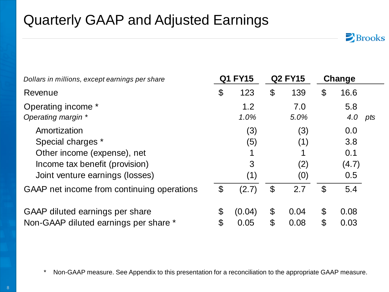# Quarterly GAAP and Adjusted Earnings

| Dollars in millions, except earnings per share |                            | Q1 FY15 |                            | <b>Q2 FY15</b> |                | Change |     |
|------------------------------------------------|----------------------------|---------|----------------------------|----------------|----------------|--------|-----|
| Revenue                                        | \$                         | 123     | $\boldsymbol{\theta}$      | 139            | \$             | 16.6   |     |
| Operating income *                             |                            | 1.2     |                            | 7.0            |                | 5.8    |     |
| Operating margin *                             |                            | 1.0%    |                            | 5.0%           |                | 4.0    | pts |
| Amortization                                   |                            | (3)     |                            | (3)            |                | 0.0    |     |
| Special charges *                              |                            | (5)     |                            | (1)            |                | 3.8    |     |
| Other income (expense), net                    |                            |         |                            |                |                | 0.1    |     |
| Income tax benefit (provision)                 |                            | 3       |                            | (2)            |                | (4.7)  |     |
| Joint venture earnings (losses)                |                            | (1)     |                            | (0)            |                | 0.5    |     |
| GAAP net income from continuing operations     | $\boldsymbol{\mathcal{S}}$ | (2.7)   | $\boldsymbol{\mathcal{S}}$ | 2.7            | $\mathfrak{L}$ | 5.4    |     |
| GAAP diluted earnings per share                | \$                         | (0.04)  | $\boldsymbol{\theta}$      | 0.04           | \$             | 0.08   |     |
| Non-GAAP diluted earnings per share *          | $\mathfrak{L}$             | 0.05    | \$                         | 0.08           | \$             | 0.03   |     |

 $\sum$ Brooks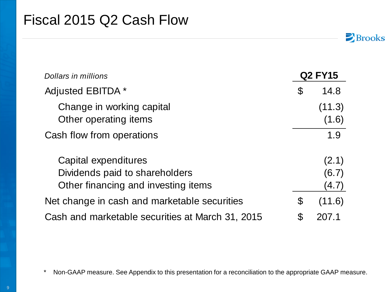## Fiscal 2015 Q2 Cash Flow

| Dollars in millions                                    |    | <b>Q2 FY15</b>  |
|--------------------------------------------------------|----|-----------------|
| Adjusted EBITDA *                                      | \$ | 14.8            |
| Change in working capital<br>Other operating items     |    | (11.3)<br>(1.6) |
| Cash flow from operations                              |    | 1.9             |
| Capital expenditures<br>Dividends paid to shareholders |    | (2.1)<br>(6.7)  |
| Other financing and investing items                    |    | (4.7)           |
| Net change in cash and marketable securities           | \$ | (11.6)          |
| Cash and marketable securities at March 31, 2015       | S  | 207.1           |

 $\sum$ Brooks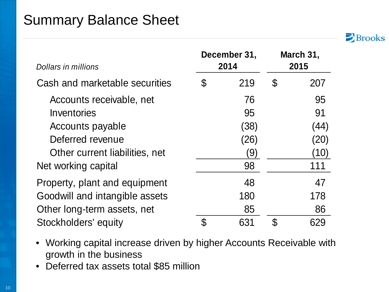## Summary Balance Sheet



| Dollars in millions            |    | December 31,<br>2014 | March 31,<br>2015 |      |  |
|--------------------------------|----|----------------------|-------------------|------|--|
| Cash and marketable securities | \$ | 219                  | S                 | 207  |  |
| Accounts receivable, net       |    | 76                   |                   | 95   |  |
| Inventories                    |    | 95                   |                   | 91   |  |
| Accounts payable               |    | (38)                 |                   | (44) |  |
| Deferred revenue               |    | (26)                 |                   | (20) |  |
| Other current liabilities, net |    | (9)                  |                   | (10) |  |
| Net working capital            |    | 98                   |                   | 111  |  |
| Property, plant and equipment  |    | 48                   |                   | 47   |  |
| Goodwill and intangible assets |    | 180                  |                   | 178  |  |
| Other long-term assets, net    |    | 85                   |                   | 86   |  |
| Stockholders' equity           | ß. | 631                  | \$                | 629  |  |

- Working capital increase driven by higher Accounts Receivable with growth in the business
- Deferred tax assets total \$85 million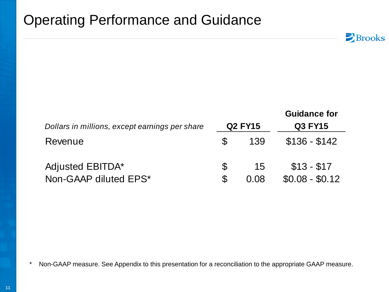## Operating Performance and Guidance

| Dollars in millions, except earnings per share |         | <b>Q2 FY15</b> | <b>Guidance for</b><br><b>Q3 FY15</b> |
|------------------------------------------------|---------|----------------|---------------------------------------|
| Revenue                                        | \$      | 139            | $$136 - $142$                         |
| Adjusted EBITDA*<br>Non-GAAP diluted EPS*      | \$<br>S | 15<br>0.08     | $$13 - $17$<br>$$0.08 - $0.12$        |

 $\sum$  Brooks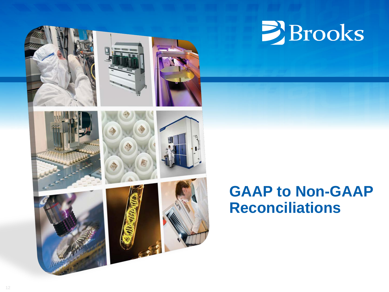

# **E**Brooks

# **GAAP to Non-GAAP Reconciliations**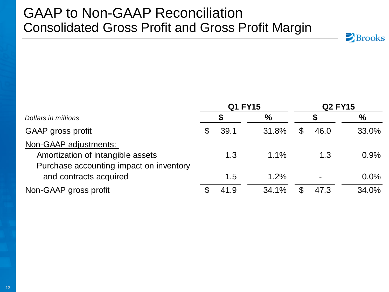### GAAP to Non-GAAP Reconciliation Consolidated Gross Profit and Gross Profit Margin

|                                         |                            | <b>Q1 FY15</b> |       | <b>Q2 FY15</b> |       |
|-----------------------------------------|----------------------------|----------------|-------|----------------|-------|
| Dollars in millions                     |                            |                | $\%$  |                | $\%$  |
| GAAP gross profit                       | \$                         | 39.1           | 31.8% | \$<br>46.0     | 33.0% |
| Non-GAAP adjustments:                   |                            |                |       |                |       |
| Amortization of intangible assets       |                            | 1.3            | 1.1%  | 1.3            | 0.9%  |
| Purchase accounting impact on inventory |                            |                |       |                |       |
| and contracts acquired                  |                            | 1.5            | 1.2%  |                | 0.0%  |
| Non-GAAP gross profit                   | $\boldsymbol{\mathcal{S}}$ | 41.9           | 34.1% | \$<br>47.3     | 34.0% |

 $\sum$ Brooks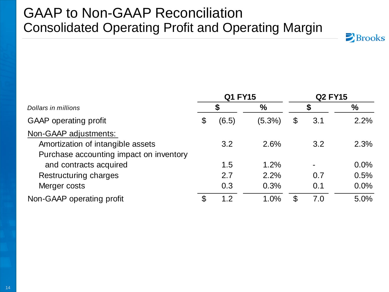## GAAP to Non-GAAP Reconciliation Consolidated Operating Profit and Operating Margin



|                                         |    | <b>Q1 FY15</b> |           | <b>Q2 FY15</b> |                |               |  |
|-----------------------------------------|----|----------------|-----------|----------------|----------------|---------------|--|
| Dollars in millions                     |    | S              | $\%$      |                |                | $\frac{0}{0}$ |  |
| <b>GAAP</b> operating profit            | \$ | (6.5)          | $(5.3\%)$ | \$             | 3.1            | 2.2%          |  |
| Non-GAAP adjustments:                   |    |                |           |                |                |               |  |
| Amortization of intangible assets       |    | 3.2            | 2.6%      |                | 3.2            | 2.3%          |  |
| Purchase accounting impact on inventory |    |                |           |                |                |               |  |
| and contracts acquired                  |    | 1.5            | 1.2%      |                | $\blacksquare$ | 0.0%          |  |
| <b>Restructuring charges</b>            |    | 2.7            | 2.2%      |                | 0.7            | 0.5%          |  |
| Merger costs                            |    | 0.3            | 0.3%      |                | 0.1            | 0.0%          |  |
| Non-GAAP operating profit               | \$ | 1.2            | 1.0%      | \$             | 7.0            | 5.0%          |  |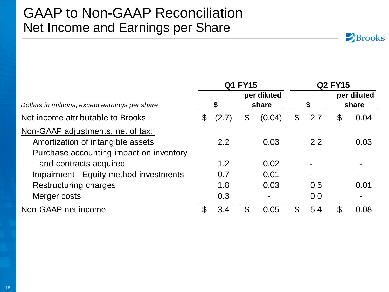#### GAAP to Non-GAAP Reconciliation Net Income and Earnings per Share

|                                                                                                                   | Q1 FY15       |       |    | <b>Q2 FY15</b>       |               |     |   |                      |  |
|-------------------------------------------------------------------------------------------------------------------|---------------|-------|----|----------------------|---------------|-----|---|----------------------|--|
| Dollars in millions, except earnings per share                                                                    |               | \$    |    | per diluted<br>share |               | \$  |   | per diluted<br>share |  |
| Net income attributable to Brooks                                                                                 | $\mathcal{C}$ | (2.7) | \$ | (0.04)               | $\mathcal{E}$ | 2.7 | S | 0.04                 |  |
| Non-GAAP adjustments, net of tax:<br>Amortization of intangible assets<br>Purchase accounting impact on inventory |               | 2.2   |    | 0.03                 |               | 2.2 |   | 0.03                 |  |
| and contracts acquired                                                                                            |               | 1.2   |    | 0.02                 |               |     |   |                      |  |
| Impairment - Equity method investments                                                                            |               | 0.7   |    | 0.01                 |               |     |   |                      |  |
| Restructuring charges                                                                                             |               | 1.8   |    | 0.03                 |               | 0.5 |   | 0.01                 |  |
| Merger costs                                                                                                      |               | 0.3   |    | -                    |               | 0.0 |   | $\blacksquare$       |  |
| Non-GAAP net income                                                                                               |               | 3.4   |    | 0.05                 | \$            | 5.4 | S | 0.08                 |  |

 $\sum$ Brooks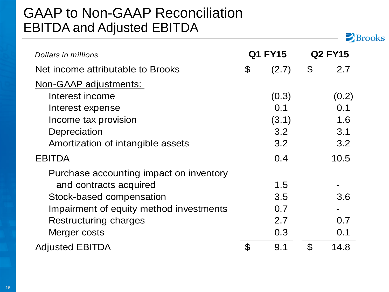## GAAP to Non-GAAP Reconciliation EBITDA and Adjusted EBITDA

| Dollars in millions                     | <b>Q1 FY15</b>             |       | <b>Q2 FY15</b>             |       |  |
|-----------------------------------------|----------------------------|-------|----------------------------|-------|--|
| Net income attributable to Brooks       | $\boldsymbol{\mathcal{S}}$ | (2.7) | $\boldsymbol{\mathcal{S}}$ | 2.7   |  |
| Non-GAAP adjustments:                   |                            |       |                            |       |  |
| Interest income                         |                            | (0.3) |                            | (0.2) |  |
| Interest expense                        |                            | 0.1   |                            | 0.1   |  |
| Income tax provision                    |                            | (3.1) |                            | 1.6   |  |
| Depreciation                            |                            | 3.2   |                            | 3.1   |  |
| Amortization of intangible assets       |                            | 3.2   |                            | 3.2   |  |
| <b>EBITDA</b>                           |                            | 0.4   |                            | 10.5  |  |
| Purchase accounting impact on inventory |                            |       |                            |       |  |
| and contracts acquired                  |                            | 1.5   |                            |       |  |
| Stock-based compensation                |                            | 3.5   |                            | 3.6   |  |
| Impairment of equity method investments |                            | 0.7   |                            |       |  |
| Restructuring charges                   |                            | 2.7   |                            | 0.7   |  |
| Merger costs                            |                            | 0.3   |                            | 0.1   |  |
| <b>Adjusted EBITDA</b>                  | $\mathcal{C}$              | 9.1   | $\mathfrak{P}$             | 14.8  |  |

Brooks